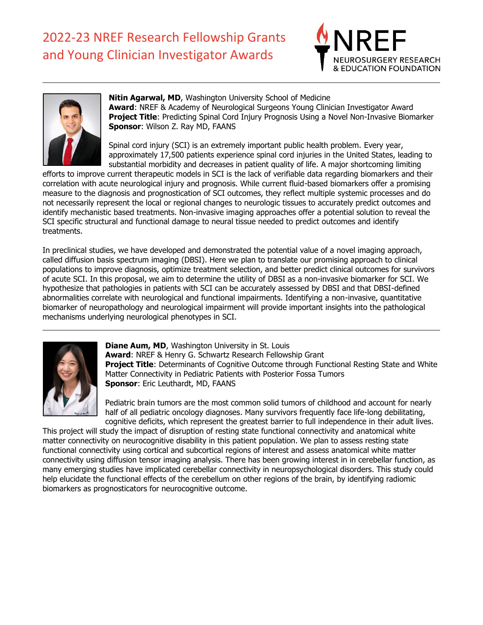



**Nitin Agarwal, MD**, Washington University School of Medicine **Award**: NREF & Academy of Neurological Surgeons Young Clinician Investigator Award **Project Title**: Predicting Spinal Cord Injury Prognosis Using a Novel Non-Invasive Biomarker **Sponsor**: Wilson Z. Ray MD, FAANS

Spinal cord injury (SCI) is an extremely important public health problem. Every year, approximately 17,500 patients experience spinal cord injuries in the United States, leading to substantial morbidity and decreases in patient quality of life. A major shortcoming limiting

efforts to improve current therapeutic models in SCI is the lack of verifiable data regarding biomarkers and their correlation with acute neurological injury and prognosis. While current fluid-based biomarkers offer a promising measure to the diagnosis and prognostication of SCI outcomes, they reflect multiple systemic processes and do not necessarily represent the local or regional changes to neurologic tissues to accurately predict outcomes and identify mechanistic based treatments. Non-invasive imaging approaches offer a potential solution to reveal the SCI specific structural and functional damage to neural tissue needed to predict outcomes and identify treatments.

In preclinical studies, we have developed and demonstrated the potential value of a novel imaging approach, called diffusion basis spectrum imaging (DBSI). Here we plan to translate our promising approach to clinical populations to improve diagnosis, optimize treatment selection, and better predict clinical outcomes for survivors of acute SCI. In this proposal, we aim to determine the utility of DBSI as a non-invasive biomarker for SCI. We hypothesize that pathologies in patients with SCI can be accurately assessed by DBSI and that DBSI-defined abnormalities correlate with neurological and functional impairments. Identifying a non-invasive, quantitative biomarker of neuropathology and neurological impairment will provide important insights into the pathological mechanisms underlying neurological phenotypes in SCI.



**Diane Aum, MD**, Washington University in St. Louis **Award**: NREF & Henry G. Schwartz Research Fellowship Grant **Project Title:** Determinants of Cognitive Outcome through Functional Resting State and White Matter Connectivity in Pediatric Patients with Posterior Fossa Tumors **Sponsor**: Eric Leuthardt, MD, FAANS

Pediatric brain tumors are the most common solid tumors of childhood and account for nearly half of all pediatric oncology diagnoses. Many survivors frequently face life-long debilitating, cognitive deficits, which represent the greatest barrier to full independence in their adult lives.

This project will study the impact of disruption of resting state functional connectivity and anatomical white matter connectivity on neurocognitive disability in this patient population. We plan to assess resting state functional connectivity using cortical and subcortical regions of interest and assess anatomical white matter connectivity using diffusion tensor imaging analysis. There has been growing interest in in cerebellar function, as many emerging studies have implicated cerebellar connectivity in neuropsychological disorders. This study could help elucidate the functional effects of the cerebellum on other regions of the brain, by identifying radiomic biomarkers as prognosticators for neurocognitive outcome.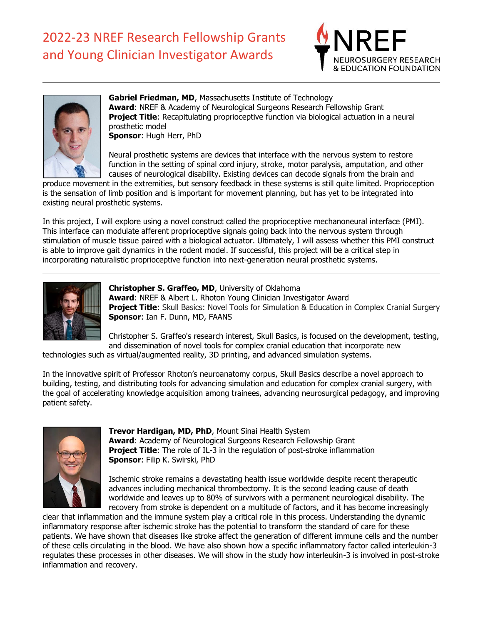



**Gabriel Friedman, MD**, Massachusetts Institute of Technology **Award**: NREF & Academy of Neurological Surgeons Research Fellowship Grant **Project Title**: Recapitulating proprioceptive function via biological actuation in a neural prosthetic model

**Sponsor**: Hugh Herr, PhD

Neural prosthetic systems are devices that interface with the nervous system to restore function in the setting of spinal cord injury, stroke, motor paralysis, amputation, and other causes of neurological disability. Existing devices can decode signals from the brain and

produce movement in the extremities, but sensory feedback in these systems is still quite limited. Proprioception is the sensation of limb position and is important for movement planning, but has yet to be integrated into existing neural prosthetic systems.

In this project, I will explore using a novel construct called the proprioceptive mechanoneural interface (PMI). This interface can modulate afferent proprioceptive signals going back into the nervous system through stimulation of muscle tissue paired with a biological actuator. Ultimately, I will assess whether this PMI construct is able to improve gait dynamics in the rodent model. If successful, this project will be a critical step in incorporating naturalistic proprioceptive function into next-generation neural prosthetic systems.



**Christopher S. Graffeo, MD**, University of Oklahoma **Award**: NREF & Albert L. Rhoton Young Clinician Investigator Award **Project Title:** Skull Basics: Novel Tools for Simulation & Education in Complex Cranial Surgery **Sponsor**: Ian F. Dunn, MD, FAANS

Christopher S. Graffeo's research interest, Skull Basics, is focused on the development, testing, and dissemination of novel tools for complex cranial education that incorporate new

technologies such as virtual/augmented reality, 3D printing, and advanced simulation systems.

In the innovative spirit of Professor Rhoton's neuroanatomy corpus, Skull Basics describe a novel approach to building, testing, and distributing tools for advancing simulation and education for complex cranial surgery, with the goal of accelerating knowledge acquisition among trainees, advancing neurosurgical pedagogy, and improving patient safety.



**Trevor Hardigan, MD, PhD**, Mount Sinai Health System **Award**: Academy of Neurological Surgeons Research Fellowship Grant **Project Title:** The role of IL-3 in the regulation of post-stroke inflammation **Sponsor**: Filip K. Swirski, PhD

Ischemic stroke remains a devastating health issue worldwide despite recent therapeutic advances including mechanical thrombectomy. It is the second leading cause of death worldwide and leaves up to 80% of survivors with a permanent neurological disability. The recovery from stroke is dependent on a multitude of factors, and it has become increasingly

clear that inflammation and the immune system play a critical role in this process. Understanding the dynamic inflammatory response after ischemic stroke has the potential to transform the standard of care for these patients. We have shown that diseases like stroke affect the generation of different immune cells and the number of these cells circulating in the blood. We have also shown how a specific inflammatory factor called interleukin-3 regulates these processes in other diseases. We will show in the study how interleukin-3 is involved in post-stroke inflammation and recovery.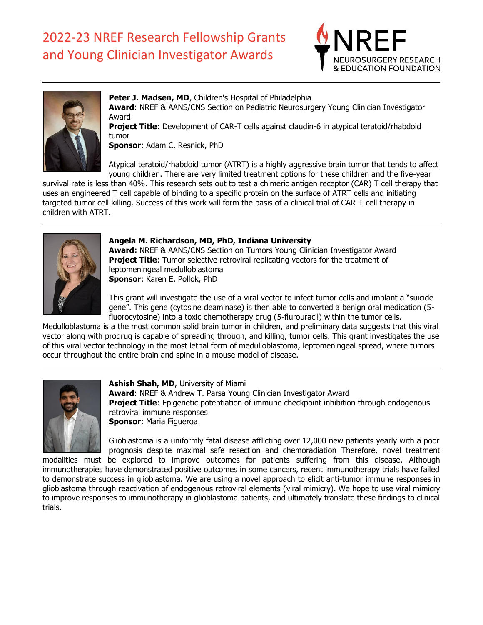



**Peter J. Madsen, MD**, Children's Hospital of Philadelphia **Award**: NREF & AANS/CNS Section on Pediatric Neurosurgery Young Clinician Investigator Award

**Project Title**: Development of CAR-T cells against claudin-6 in atypical teratoid/rhabdoid tumor

**Sponsor**: Adam C. Resnick, PhD

Atypical teratoid/rhabdoid tumor (ATRT) is a highly aggressive brain tumor that tends to affect young children. There are very limited treatment options for these children and the five-year

survival rate is less than 40%. This research sets out to test a chimeric antigen receptor (CAR) T cell therapy that uses an engineered T cell capable of binding to a specific protein on the surface of ATRT cells and initiating targeted tumor cell killing. Success of this work will form the basis of a clinical trial of CAR-T cell therapy in children with ATRT.



#### **Angela M. Richardson, MD, PhD, Indiana University**

**Award:** NREF & AANS/CNS Section on Tumors Young Clinician Investigator Award **Project Title:** Tumor selective retroviral replicating vectors for the treatment of leptomeningeal medulloblastoma **Sponsor**: Karen E. Pollok, PhD

This grant will investigate the use of a viral vector to infect tumor cells and implant a "suicide gene". This gene (cytosine deaminase) is then able to converted a benign oral medication (5 fluorocytosine) into a toxic chemotherapy drug (5-flurouracil) within the tumor cells.

Medulloblastoma is a the most common solid brain tumor in children, and preliminary data suggests that this viral vector along with prodrug is capable of spreading through, and killing, tumor cells. This grant investigates the use of this viral vector technology in the most lethal form of medulloblastoma, leptomeningeal spread, where tumors occur throughout the entire brain and spine in a mouse model of disease.



**Ashish Shah, MD**, University of Miami **Award**: NREF & Andrew T. Parsa Young Clinician Investigator Award **Project Title:** Epigenetic potentiation of immune checkpoint inhibition through endogenous retroviral immune responses **Sponsor**: Maria Figueroa

Glioblastoma is a uniformly fatal disease afflicting over 12,000 new patients yearly with a poor prognosis despite maximal safe resection and chemoradiation Therefore, novel treatment

modalities must be explored to improve outcomes for patients suffering from this disease. Although immunotherapies have demonstrated positive outcomes in some cancers, recent immunotherapy trials have failed to demonstrate success in glioblastoma. We are using a novel approach to elicit anti-tumor immune responses in glioblastoma through reactivation of endogenous retroviral elements (viral mimicry). We hope to use viral mimicry to improve responses to immunotherapy in glioblastoma patients, and ultimately translate these findings to clinical trials.